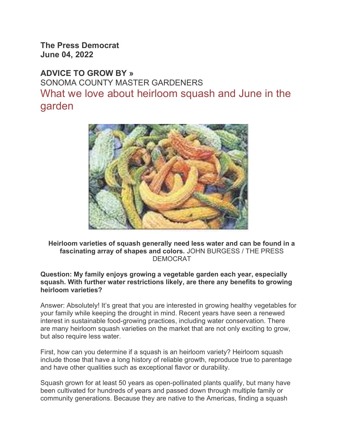The Press Democrat June 04, 2022

ADVICE TO GROW BY » SONOMA COUNTY MASTER GARDENERS What we love about heirloom squash and June in the garden



Heirloom varieties of squash generally need less water and can be found in a fascinating array of shapes and colors. JOHN BURGESS / THE PRESS DEMOCRAT

Question: My family enjoys growing a vegetable garden each year, especially squash. With further water restrictions likely, are there any benefits to growing heirloom varieties?

Answer: Absolutely! It's great that you are interested in growing healthy vegetables for your family while keeping the drought in mind. Recent years have seen a renewed interest in sustainable food-growing practices, including water conservation. There are many heirloom squash varieties on the market that are not only exciting to grow, but also require less water.

First, how can you determine if a squash is an heirloom variety? Heirloom squash include those that have a long history of reliable growth, reproduce true to parentage and have other qualities such as exceptional flavor or durability.

Squash grown for at least 50 years as open-pollinated plants qualify, but many have been cultivated for hundreds of years and passed down through multiple family or community generations. Because they are native to the Americas, finding a squash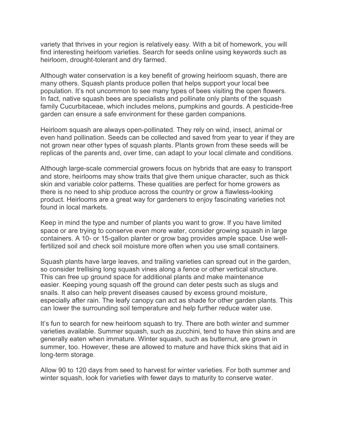variety that thrives in your region is relatively easy. With a bit of homework, you will find interesting heirloom varieties. Search for seeds online using keywords such as heirloom, drought-tolerant and dry farmed.

Although water conservation is a key benefit of growing heirloom squash, there are many others. Squash plants produce pollen that helps support your local bee population. It's not uncommon to see many types of bees visiting the open flowers. In fact, native squash bees are specialists and pollinate only plants of the squash family Cucurbitaceae, which includes melons, pumpkins and gourds. A pesticide-free garden can ensure a safe environment for these garden companions.

Heirloom squash are always open-pollinated. They rely on wind, insect, animal or even hand pollination. Seeds can be collected and saved from year to year if they are not grown near other types of squash plants. Plants grown from these seeds will be replicas of the parents and, over time, can adapt to your local climate and conditions.

Although large-scale commercial growers focus on hybrids that are easy to transport and store, heirlooms may show traits that give them unique character, such as thick skin and variable color patterns. These qualities are perfect for home growers as there is no need to ship produce across the country or grow a flawless-looking product. Heirlooms are a great way for gardeners to enjoy fascinating varieties not found in local markets.

Keep in mind the type and number of plants you want to grow. If you have limited space or are trying to conserve even more water, consider growing squash in large containers. A 10- or 15-gallon planter or grow bag provides ample space. Use wellfertilized soil and check soil moisture more often when you use small containers.

Squash plants have large leaves, and trailing varieties can spread out in the garden, so consider trellising long squash vines along a fence or other vertical structure. This can free up ground space for additional plants and make maintenance easier. Keeping young squash off the ground can deter pests such as slugs and snails. It also can help prevent diseases caused by excess ground moisture, especially after rain. The leafy canopy can act as shade for other garden plants. This can lower the surrounding soil temperature and help further reduce water use.

It's fun to search for new heirloom squash to try. There are both winter and summer varieties available. Summer squash, such as zucchini, tend to have thin skins and are generally eaten when immature. Winter squash, such as butternut, are grown in summer, too. However, these are allowed to mature and have thick skins that aid in long-term storage.

Allow 90 to 120 days from seed to harvest for winter varieties. For both summer and winter squash, look for varieties with fewer days to maturity to conserve water.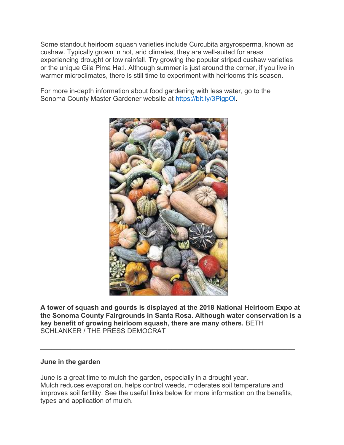Some standout heirloom squash varieties include Curcubita argyrosperma, known as cushaw. Typically grown in hot, arid climates, they are well-suited for areas experiencing drought or low rainfall. Try growing the popular striped cushaw varieties or the unique Gila Pima Ha:l. Although summer is just around the corner, if you live in warmer microclimates, there is still time to experiment with heirlooms this season.

For more in-depth information about food gardening with less water, go to the Sonoma County Master Gardener website at https://bit.ly/3PigpOl.



A tower of squash and gourds is displayed at the 2018 National Heirloom Expo at the Sonoma County Fairgrounds in Santa Rosa. Although water conservation is a key benefit of growing heirloom squash, there are many others. BETH SCHLANKER / THE PRESS DEMOCRAT

\_\_\_\_\_\_\_\_\_\_\_\_\_\_\_\_\_\_\_\_\_\_\_\_\_\_\_\_\_\_\_\_\_\_\_\_\_\_\_\_\_\_\_\_\_\_\_\_\_\_\_\_\_\_\_\_\_\_\_\_\_\_\_\_\_\_\_\_

## June in the garden

June is a great time to mulch the garden, especially in a drought year. Mulch reduces evaporation, helps control weeds, moderates soil temperature and improves soil fertility. See the useful links below for more information on the benefits, types and application of mulch.